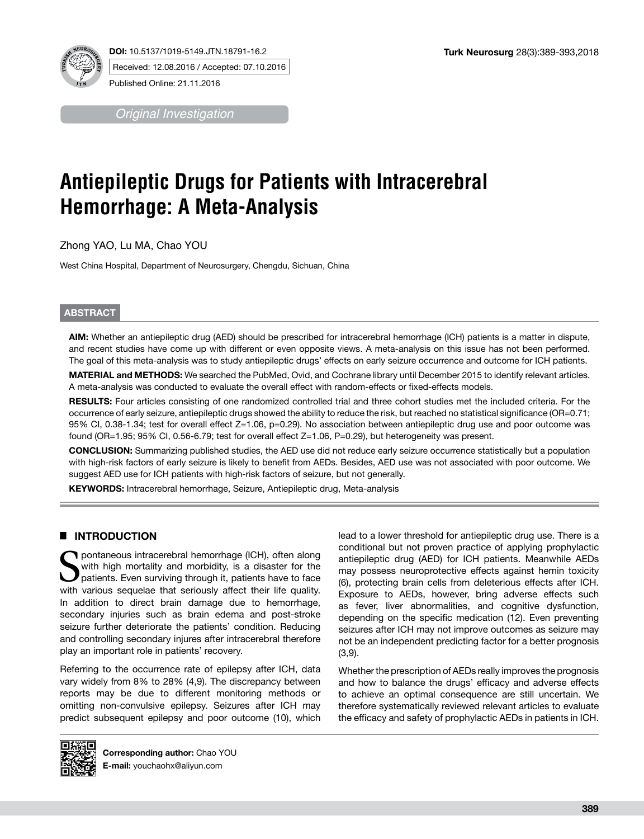

**DOI:** 10.5137/1019-5149.JTN.18791-16.2 Received: 12.08.2016 / Accepted: 07.10.2016

Published Online: 21.11.2016

*Original Investigation*

# **Antiepileptic Drugs for Patients with Intracerebral Hemorrhage: A Meta-Analysis**

Zhong YAO, Lu MA, Chao YOU

West China Hospital, Department of Neurosurgery, Chengdu, Sichuan, China

## **ABSTRACT**

**AIM:** Whether an antiepileptic drug (AED) should be prescribed for intracerebral hemorrhage (ICH) patients is a matter in dispute, and recent studies have come up with different or even opposite views. A meta-analysis on this issue has not been performed. The goal of this meta-analysis was to study antiepileptic drugs' effects on early seizure occurrence and outcome for ICH patients.

**MATERIAL and METHODS:** We searched the PubMed, Ovid, and Cochrane library until December 2015 to identify relevant articles. A meta-analysis was conducted to evaluate the overall effect with random-effects or fixed-effects models.

**RESULTS:** Four articles consisting of one randomized controlled trial and three cohort studies met the included criteria. For the occurrence of early seizure, antiepileptic drugs showed the ability to reduce the risk, but reached no statistical significance (OR=0.71; 95% CI, 0.38-1.34; test for overall effect Z=1.06, p=0.29). No association between antiepileptic drug use and poor outcome was found (OR=1.95; 95% CI, 0.56-6.79; test for overall effect Z=1.06, P=0.29), but heterogeneity was present.

**CONCLUSION:** Summarizing published studies, the AED use did not reduce early seizure occurrence statistically but a population with high-risk factors of early seizure is likely to benefit from AEDs. Besides, AED use was not associated with poor outcome. We suggest AED use for ICH patients with high-risk factors of seizure, but not generally.

**KEYWORDS:** Intracerebral hemorrhage, Seizure, Antiepileptic drug, Meta-analysis

## █ **INTRODUCTION**

T pontaneous intracerebral hemorrhage (ICH), often along with high mortality and morbidity, is a disaster for the patients. Even surviving through it, patients have to face with various sequelae that seriously affect their life quality. In addition to direct brain damage due to hemorrhage, secondary injuries such as brain edema and post-stroke seizure further deteriorate the patients' condition. Reducing and controlling secondary injures after intracerebral therefore play an important role in patients' recovery.

Referring to the occurrence rate of epilepsy after ICH, data vary widely from 8% to 28% (4,9). The discrepancy between reports may be due to different monitoring methods or omitting non-convulsive epilepsy. Seizures after ICH may predict subsequent epilepsy and poor outcome (10), which lead to a lower threshold for antiepileptic drug use. There is a conditional but not proven practice of applying prophylactic antiepileptic drug (AED) for ICH patients. Meanwhile AEDs may possess neuroprotective effects against hemin toxicity (6), protecting brain cells from deleterious effects after ICH. Exposure to AEDs, however, bring adverse effects such as fever, liver abnormalities, and cognitive dysfunction, depending on the specific medication (12). Even preventing seizures after ICH may not improve outcomes as seizure may not be an independent predicting factor for a better prognosis (3,9).

Whether the prescription of AEDs really improves the prognosis and how to balance the drugs' efficacy and adverse effects to achieve an optimal consequence are still uncertain. We therefore systematically reviewed relevant articles to evaluate the efficacy and safety of prophylactic AEDs in patients in ICH.

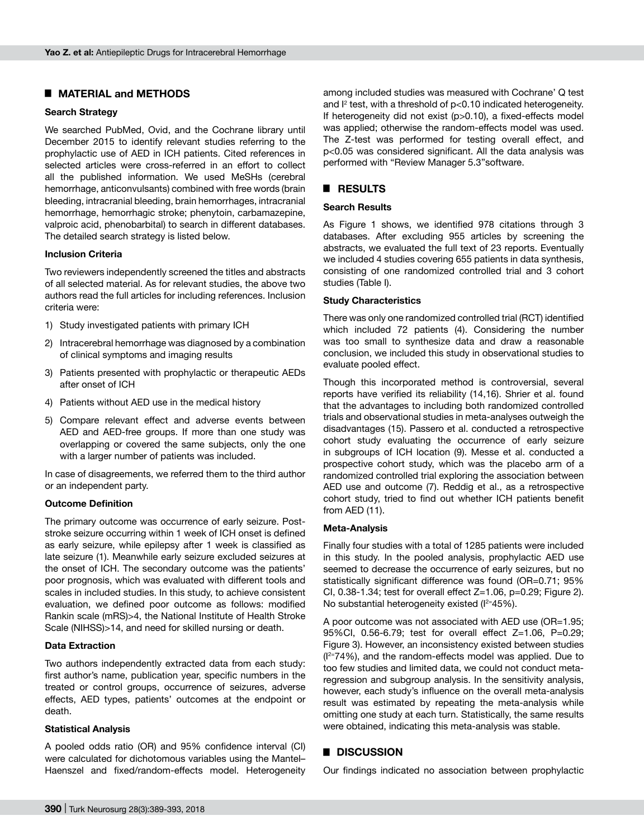## █ **MATERIAL and METHODS**

## **Search Strategy**

We searched PubMed, Ovid, and the Cochrane library until December 2015 to identify relevant studies referring to the prophylactic use of AED in ICH patients. Cited references in selected articles were cross-referred in an effort to collect all the published information. We used MeSHs (cerebral hemorrhage, anticonvulsants) combined with free words (brain bleeding, intracranial bleeding, brain hemorrhages, intracranial hemorrhage, hemorrhagic stroke; phenytoin, carbamazepine, valproic acid, phenobarbital) to search in different databases. The detailed search strategy is listed below.

#### **Inclusion Criteria**

Two reviewers independently screened the titles and abstracts of all selected material. As for relevant studies, the above two authors read the full articles for including references. Inclusion criteria were:

- 1) Study investigated patients with primary ICH
- 2) Intracerebral hemorrhage was diagnosed by a combination of clinical symptoms and imaging results
- 3) Patients presented with prophylactic or therapeutic AEDs after onset of ICH
- 4) Patients without AED use in the medical history
- 5) Compare relevant effect and adverse events between AED and AED-free groups. If more than one study was overlapping or covered the same subjects, only the one with a larger number of patients was included.

In case of disagreements, we referred them to the third author or an independent party.

#### **Outcome Definition**

The primary outcome was occurrence of early seizure. Poststroke seizure occurring within 1 week of ICH onset is defined as early seizure, while epilepsy after 1 week is classified as late seizure (1). Meanwhile early seizure excluded seizures at the onset of ICH. The secondary outcome was the patients' poor prognosis, which was evaluated with different tools and scales in included studies. In this study, to achieve consistent evaluation, we defined poor outcome as follows: modified Rankin scale (mRS)>4, the National Institute of Health Stroke Scale (NIHSS)>14, and need for skilled nursing or death.

#### **Data Extraction**

Two authors independently extracted data from each study: first author's name, publication year, specific numbers in the treated or control groups, occurrence of seizures, adverse effects, AED types, patients' outcomes at the endpoint or death.

#### **Statistical Analysis**

A pooled odds ratio (OR) and 95% confidence interval (CI) were calculated for dichotomous variables using the Mantel– Haenszel and fixed/random-effects model. Heterogeneity among included studies was measured with Cochrane' Q test and  $I^2$  test, with a threshold of  $p<0.10$  indicated heterogeneity. If heterogeneity did not exist (p>0.10), a fixed-effects model was applied; otherwise the random-effects model was used. The Z-test was performed for testing overall effect, and p<0.05 was considered significant. All the data analysis was performed with "Review Manager 5.3"software.

## █ **RESULTS**

## **Search Results**

As Figure 1 shows, we identified 978 citations through 3 databases. After excluding 955 articles by screening the abstracts, we evaluated the full text of 23 reports. Eventually we included 4 studies covering 655 patients in data synthesis, consisting of one randomized controlled trial and 3 cohort studies (Table I).

#### **Study Characteristics**

There was only one randomized controlled trial (RCT) identified which included 72 patients (4). Considering the number was too small to synthesize data and draw a reasonable conclusion, we included this study in observational studies to evaluate pooled effect.

Though this incorporated method is controversial, several reports have verified its reliability (14,16). Shrier et al. found that the advantages to including both randomized controlled trials and observational studies in meta-analyses outweigh the disadvantages (15). Passero et al. conducted a retrospective cohort study evaluating the occurrence of early seizure in subgroups of ICH location (9). Messe et al. conducted a prospective cohort study, which was the placebo arm of a randomized controlled trial exploring the association between AED use and outcome (7). Reddig et al., as a retrospective cohort study, tried to find out whether ICH patients benefit from AED (11).

#### **Meta-Analysis**

Finally four studies with a total of 1285 patients were included in this study. In the pooled analysis, prophylactic AED use seemed to decrease the occurrence of early seizures, but no statistically significant difference was found (OR=0.71; 95% CI,  $0.38-1.34$ ; test for overall effect  $Z=1.06$ ,  $p=0.29$ ; Figure 2). No substantial heterogeneity existed  $(I^{2}=45\%)$ .

A poor outcome was not associated with AED use (OR=1.95; 95%CI, 0.56-6.79; test for overall effect Z=1.06, P=0.29; Figure 3). However, an inconsistency existed between studies  $(1<sup>2</sup>=74%)$ , and the random-effects model was applied. Due to too few studies and limited data, we could not conduct metaregression and subgroup analysis. In the sensitivity analysis, however, each study's influence on the overall meta-analysis result was estimated by repeating the meta-analysis while omitting one study at each turn. Statistically, the same results were obtained, indicating this meta-analysis was stable.

## █ **DISCUSSION**

Our findings indicated no association between prophylactic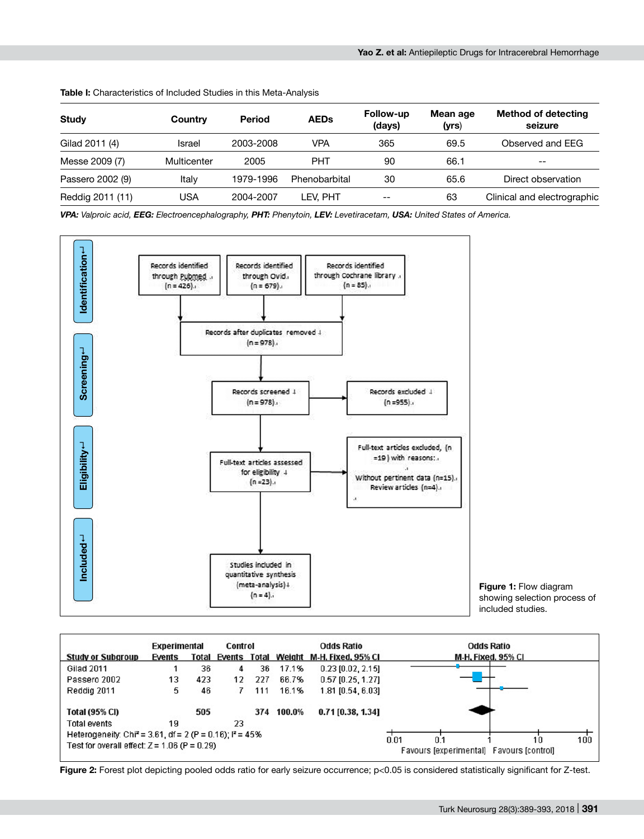|                  |             |               |               | Follow-up | Mean age | <b>Method of detecting</b>  |  |
|------------------|-------------|---------------|---------------|-----------|----------|-----------------------------|--|
| <b>Study</b>     | Country     | <b>Period</b> | <b>AEDs</b>   | (days)    | (yrs)    | seizure                     |  |
| Gilad 2011 (4)   | Israel      | 2003-2008     | VPA           | 365       | 69.5     | Observed and EEG            |  |
| Messe 2009 (7)   | Multicenter | 2005          | <b>PHT</b>    | 90        | 66.1     | $- -$                       |  |
| Passero 2002 (9) | Italy       | 1979-1996     | Phenobarbital | 30        | 65.6     | Direct observation          |  |
| Reddig 2011 (11) | USA         | 2004-2007     | LEV. PHT      | $- -$     | 63       | Clinical and electrographic |  |

**Table I:** Characteristics of Included Studies in this Meta-Analysis

*VPA: Valproic acid, EEG: Electroencephalography, PHT: Phenytoin, LEV: Levetiracetam, USA: United States of America.*



| Included                                                              |                     |       |         | Studies included in<br>(meta-analysis) +<br>$(n = 4)$ . | quantitative synthesis |                     | <b>Figure 1:</b> Flow diagram<br>showing selection process of<br>included studies.                                                         |
|-----------------------------------------------------------------------|---------------------|-------|---------|---------------------------------------------------------|------------------------|---------------------|--------------------------------------------------------------------------------------------------------------------------------------------|
|                                                                       | <b>Experimental</b> |       | Control |                                                         |                        | <b>Odds Ratio</b>   | <b>Odds Ratio</b>                                                                                                                          |
| <b>Study or Subgroup</b>                                              | Events              | Total |         |                                                         | Events Total Weight    | M-H, Fixed, 95% CI  | M-H, Fixed, 95% CI                                                                                                                         |
| <b>Gilad 2011</b>                                                     |                     | 36    | 4       | 36                                                      | 17.1%                  | $0.23$ [0.02, 2.15] |                                                                                                                                            |
| Passero 2002                                                          | 13                  | 423   | 12      | 227                                                     | 66.7%                  | $0.57$ [0.25, 1.27] |                                                                                                                                            |
| Reddig 2011                                                           | 5                   | 46    | 7       | 111                                                     | 16.1%                  | 1.81 [0.54, 6.03]   |                                                                                                                                            |
| Total (95% CI)                                                        |                     | 505   |         |                                                         | 374 100.0%             | $0.71$ [0.38, 1.34] |                                                                                                                                            |
| Total events                                                          | 19                  |       | 23      |                                                         |                        |                     |                                                                                                                                            |
| Heterogeneity: Chi <sup>2</sup> = 3.61, df = 2 (P = 0.16); $P = 45\%$ |                     |       |         |                                                         |                        |                     | 0.01<br>0.1<br>10                                                                                                                          |
| Test for overall effect: $Z = 1.06$ (P = 0.29)                        |                     |       |         |                                                         |                        |                     | 100<br>Favours [experimental] Favours [control]                                                                                            |
|                                                                       |                     |       |         |                                                         |                        |                     | Figure 2: Forest plot depicting pooled odds ratio for early seizure occurrence; p<0.05 is considered statistically significant for Z-test. |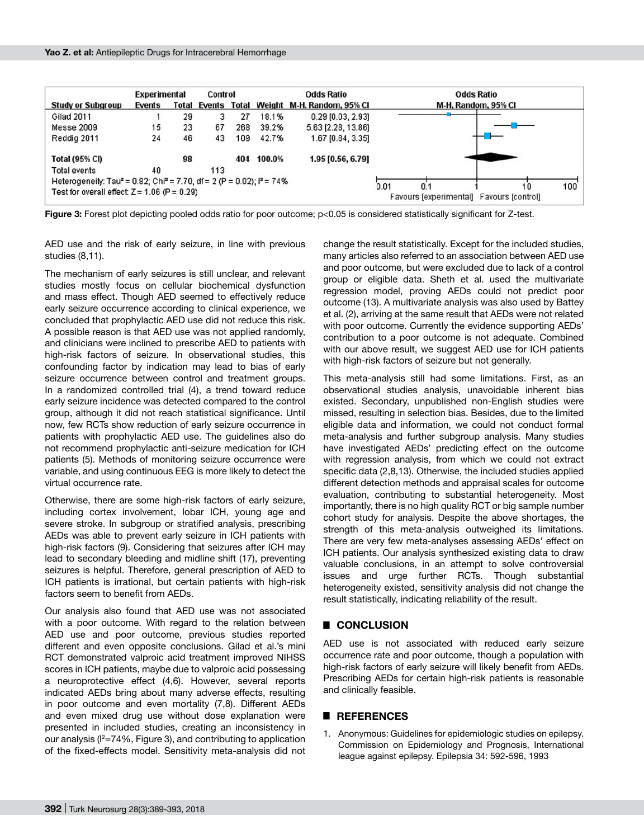|                                                                                                | <b>Experimental</b> |    | Control |     |        | <b>Odds Ratio</b>                             | <b>Odds Ratio</b>                                                    |
|------------------------------------------------------------------------------------------------|---------------------|----|---------|-----|--------|-----------------------------------------------|----------------------------------------------------------------------|
| <b>Study or Subgroup</b>                                                                       | Events              |    |         |     |        | Total Events Total Weight M-H, Random, 95% CI | M-H, Random, 95% CI                                                  |
| Gilad 2011                                                                                     |                     | 29 | 3       | 27  | 18.1%  | $0.29$ [0.03, 2.93]                           |                                                                      |
| Messe 2009                                                                                     | 15                  | 23 | 67      | 268 | 39.2%  | 5.63 [2.28, 13.86]                            |                                                                      |
| Reddig 2011                                                                                    | 24                  | 46 | 43      | 109 | 42.7%  | 1.67 [0.84, 3.35]                             |                                                                      |
| <b>Total (95% CI)</b>                                                                          |                     | 98 |         | 404 | 100.0% | 1.95 [0.56, 6.79]                             |                                                                      |
| Total events                                                                                   | 40                  |    | 113     |     |        |                                               |                                                                      |
| Heterogeneity: Tau <sup>2</sup> = 0.82; Chi <sup>2</sup> = 7.70, df = 2 (P = 0.02); $P = 74\%$ |                     |    |         |     |        |                                               |                                                                      |
| Test for overall effect: $Z = 1.06$ (P = 0.29)                                                 |                     |    |         |     |        |                                               | 100<br>0.01<br>0.1<br>10<br>Favours [experimental] Favours [control] |

**Figure 3:** Forest plot depicting pooled odds ratio for poor outcome; p<0.05 is considered statistically significant for Z-test.

AED use and the risk of early seizure, in line with previous studies (8,11).

The mechanism of early seizures is still unclear, and relevant studies mostly focus on cellular biochemical dysfunction and mass effect. Though AED seemed to effectively reduce early seizure occurrence according to clinical experience, we concluded that prophylactic AED use did not reduce this risk. A possible reason is that AED use was not applied randomly, and clinicians were inclined to prescribe AED to patients with high-risk factors of seizure. In observational studies, this confounding factor by indication may lead to bias of early seizure occurrence between control and treatment groups. In a randomized controlled trial (4), a trend toward reduce early seizure incidence was detected compared to the control group, although it did not reach statistical significance. Until now, few RCTs show reduction of early seizure occurrence in patients with prophylactic AED use. The guidelines also do not recommend prophylactic anti-seizure medication for ICH patients (5). Methods of monitoring seizure occurrence were variable, and using continuous EEG is more likely to detect the virtual occurrence rate.

Otherwise, there are some high-risk factors of early seizure, including cortex involvement, lobar ICH, young age and severe stroke. In subgroup or stratified analysis, prescribing AEDs was able to prevent early seizure in ICH patients with high-risk factors (9). Considering that seizures after ICH may lead to secondary bleeding and midline shift (17), preventing seizures is helpful. Therefore, general prescription of AED to ICH patients is irrational, but certain patients with high-risk factors seem to benefit from AEDs.

Our analysis also found that AED use was not associated with a poor outcome. With regard to the relation between AED use and poor outcome, previous studies reported different and even opposite conclusions. Gilad et al.'s mini RCT demonstrated valproic acid treatment improved NIHSS scores in ICH patients, maybe due to valproic acid possessing a neuroprotective effect (4,6). However, several reports indicated AEDs bring about many adverse effects, resulting in poor outcome and even mortality (7,8). Different AEDs and even mixed drug use without dose explanation were presented in included studies, creating an inconsistency in our analysis (I $^{2}$ =74%, Figure 3), and contributing to application of the fixed-effects model. Sensitivity meta-analysis did not change the result statistically. Except for the included studies, many articles also referred to an association between AED use and poor outcome, but were excluded due to lack of a control group or eligible data. Sheth et al. used the multivariate regression model, proving AEDs could not predict poor outcome (13). A multivariate analysis was also used by Battey et al. (2), arriving at the same result that AEDs were not related with poor outcome. Currently the evidence supporting AEDs' contribution to a poor outcome is not adequate. Combined with our above result, we suggest AED use for ICH patients with high-risk factors of seizure but not generally.

This meta-analysis still had some limitations. First, as an observational studies analysis, unavoidable inherent bias existed. Secondary, unpublished non-English studies were missed, resulting in selection bias. Besides, due to the limited eligible data and information, we could not conduct formal meta-analysis and further subgroup analysis. Many studies have investigated AEDs' predicting effect on the outcome with regression analysis, from which we could not extract specific data (2,8,13). Otherwise, the included studies applied different detection methods and appraisal scales for outcome evaluation, contributing to substantial heterogeneity. Most importantly, there is no high quality RCT or big sample number cohort study for analysis. Despite the above shortages, the strength of this meta-analysis outweighed its limitations. There are very few meta-analyses assessing AEDs' effect on ICH patients. Our analysis synthesized existing data to draw valuable conclusions, in an attempt to solve controversial issues and urge further RCTs. Though substantial heterogeneity existed, sensitivity analysis did not change the result statistically, indicating reliability of the result.

## █ **CONCLUSION**

AED use is not associated with reduced early seizure occurrence rate and poor outcome, though a population with high-risk factors of early seizure will likely benefit from AEDs. Prescribing AEDs for certain high-risk patients is reasonable and clinically feasible.

## █ **REFERENCES**

1. Anonymous: Guidelines for epidemiologic studies on epilepsy. Commission on Epidemiology and Prognosis, International league against epilepsy. Epilepsia 34: 592-596, 1993